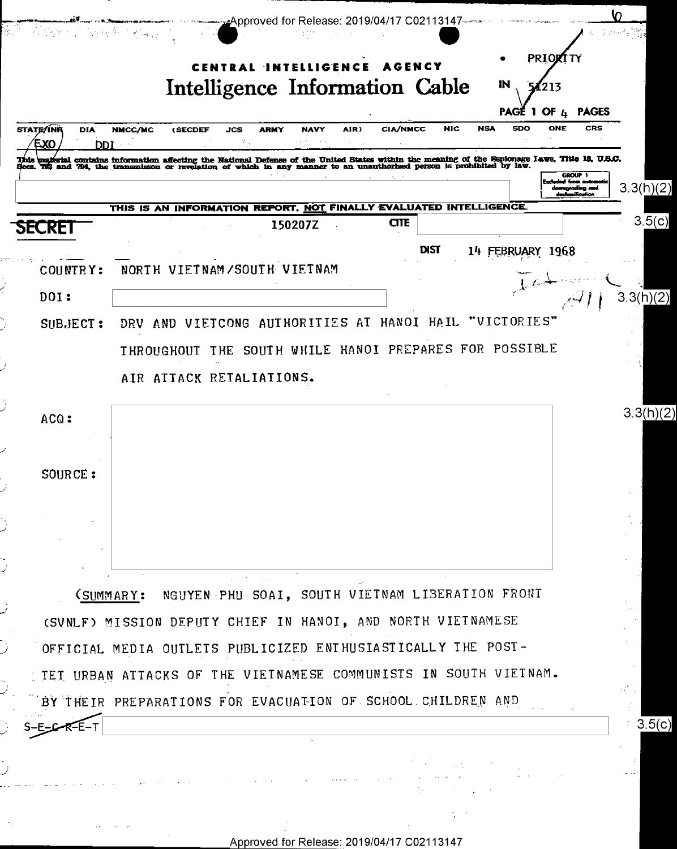| <b>STATE/INR</b><br><b>DIA</b><br>EXO<br>זממ | <b>NMCC/MC</b><br>(SECDEF                                                                                                                                                                                                         | JCS  | <b>ARMY</b><br>NAVY                             | AIR) | <b>CIA/NMCC</b> | <b>NIC</b>  | <b>NSA</b>  | <b>SDO</b> | ONE                                                                         | CRS |
|----------------------------------------------|-----------------------------------------------------------------------------------------------------------------------------------------------------------------------------------------------------------------------------------|------|-------------------------------------------------|------|-----------------|-------------|-------------|------------|-----------------------------------------------------------------------------|-----|
|                                              | This material contains information affecting the National Defense of the United States within the meaning of the Espionage Laws, Title 18, U.S.C.<br>Secs. 733 and 794, the transmisson or revelation of which in any manner to a |      |                                                 |      |                 |             |             |            | GROUP <sub>1</sub><br>Excluded from owns<br>downgrading and<br>ambani kutha |     |
|                                              | THIS IS AN INFORMATION REPORT. NOT FINALLY EVALUATED INTELLIGENCE.                                                                                                                                                                |      |                                                 |      |                 |             |             |            |                                                                             |     |
| SECRET                                       |                                                                                                                                                                                                                                   |      | 150207Z                                         |      | <b>CITE</b>     |             |             |            |                                                                             |     |
|                                              |                                                                                                                                                                                                                                   |      |                                                 |      |                 | <b>DIST</b> | 14 FEBRUARY |            | 1968                                                                        |     |
| COUNTRY:                                     | NORTH VIETNAM/SOUTH VIETNAM                                                                                                                                                                                                       |      |                                                 |      |                 |             |             |            |                                                                             |     |
| DOL:                                         |                                                                                                                                                                                                                                   |      |                                                 |      |                 |             |             |            |                                                                             |     |
| SUBJECT:                                     | DRV.                                                                                                                                                                                                                              |      | AND VIETCONG AUTHORITIES AT HANOI HAIL          |      |                 |             | "VICTORIES" |            |                                                                             |     |
|                                              | <b>THROUGHOUT</b>                                                                                                                                                                                                                 | THE. | SOUTH WHILE HANOI PREPARES FOR POSSIBLE         |      |                 |             |             |            |                                                                             |     |
|                                              |                                                                                                                                                                                                                                   |      |                                                 |      |                 |             |             |            |                                                                             |     |
|                                              | AIR ATTACK RETALIATIONS.                                                                                                                                                                                                          |      |                                                 |      |                 |             |             |            |                                                                             |     |
|                                              |                                                                                                                                                                                                                                   |      |                                                 |      |                 |             |             |            |                                                                             |     |
| ACQ:                                         |                                                                                                                                                                                                                                   |      |                                                 |      |                 |             |             |            |                                                                             |     |
|                                              |                                                                                                                                                                                                                                   |      |                                                 |      |                 |             |             |            |                                                                             |     |
| SOURCE:                                      |                                                                                                                                                                                                                                   |      |                                                 |      |                 |             |             |            |                                                                             |     |
|                                              |                                                                                                                                                                                                                                   |      |                                                 |      |                 |             |             |            |                                                                             |     |
|                                              |                                                                                                                                                                                                                                   |      |                                                 |      |                 |             |             |            |                                                                             |     |
|                                              |                                                                                                                                                                                                                                   |      |                                                 |      |                 |             |             |            |                                                                             |     |
|                                              |                                                                                                                                                                                                                                   |      |                                                 |      |                 |             |             |            |                                                                             |     |
|                                              | (SUMMARY:                                                                                                                                                                                                                         |      | NGUYEN PHU SOAI, SOUTH VIETNAM LIBERATION FRONT |      |                 |             |             |            |                                                                             |     |
|                                              |                                                                                                                                                                                                                                   |      |                                                 |      |                 |             |             |            |                                                                             |     |
|                                              | (SVNLF) MISSION DEPUTY CHIEF IN HANOI, AND NORTH VIETNAMESE                                                                                                                                                                       |      |                                                 |      |                 |             |             |            |                                                                             |     |
|                                              | OFFICIAL MEDIA OUTLETS PUBLICIZED ENTHUSIASTICALLY THE POST-                                                                                                                                                                      |      |                                                 |      |                 |             |             |            |                                                                             |     |
|                                              | TET URBAN ATTACKS OF THE VIETNAMESE COMMUNISTS IN SOUTH VIETNAM.                                                                                                                                                                  |      |                                                 |      |                 |             |             |            |                                                                             |     |
|                                              | BY THEIR PREPARATIONS FOR EVACUATION OF SCHOOL CHILDREN AND                                                                                                                                                                       |      |                                                 |      |                 |             |             |            |                                                                             |     |

 $\mathcal{H}_{\mathcal{C}}$ 

 $\frac{1}{2}$  ,  $\frac{1}{2}$ 

 $\sim$   $\alpha$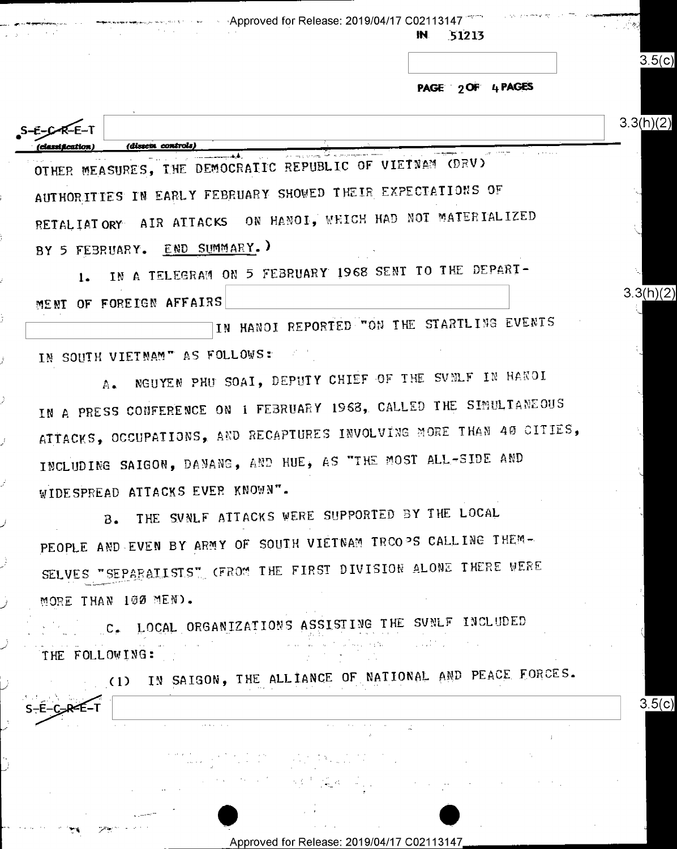Approved for Release: 2019/04/17 C02113147

51213

PAGE 2 OF 4 PAGES

 $3.5(c)$ 

 $3.3(h)(2)$ 

 $3.5(c)$ 

 $3.3(h)(2)$ S-E-C-R-E-T (dissen controls) OTHER MEASURES, THE DEMOCRATIC REPUBLIC OF VIETNAM (DRV)

AUTHORITIES IN EARLY FEBRUARY SHOWED THEIR EXPECTATIONS OF RETALIATORY AIR ATTACKS ON HANOI, WHICH HAD NOT MATERIALIZED BY 5 FEBRUARY. END SUMMARY. )

IN A TELEGRAM ON 5 FEBRUARY 1968 SENT TO THE DEPART- $1.$ MENT OF FOREIGN AFFAIRS

IN HANOI REPORTED TON THE STARTLING EVENTS IN SOUTH VIETNAM" AS FOLLOWS:

ĵ.

2

-F–C

NGUYEN PHU SOAI, DEPUTY CHIEF OF THE SUNLF IN HANOI  $A_{\bullet}$ IN A PRESS CONFERENCE ON 1 FEBRUARY 1968, CALLED THE SIMULTANEOUS ATTACKS, OCCUPATIONS, AND RECAPTURES INVOLVING MORE THAN 40 CITIES, INCLUDING SAIGON, DANANG, AND HUE, AS "THE MOST ALL-SIDE AND WIDESPREAD ATTACKS EVER KNOWN".

THE SUNLF ATTACKS WERE SUPPORTED BY THE LOCAL в. PEOPLE AND EVEN BY ARMY OF SOUTH VIETNAM TRCOPS CALLING THEM-SELVES "SEPARAILSIS" (FROM THE FIRST DIVISION ALONE THERE WERE MORE THAN 100 MEN).

C. LOCAL ORGANIZATIONS ASSISTING THE SUNLF INCLUDED THE FOLLOWING:

(1) IN SAIGON, THE ALLIANCE OF NATIONAL AND PEACE FORCES.

Approved for Release: 2019/04/17 C02113147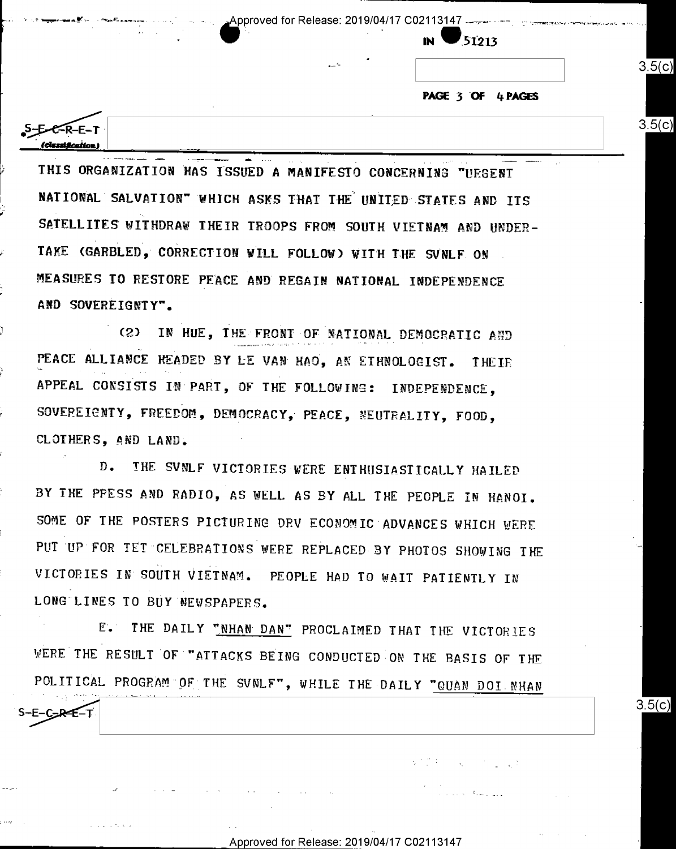Approved for Release: 2019/04/17 C02113147

51213

PAGE 3 OF 4 PAGES

 $3.5(c)$ 

 $3.5(c)$ 

 $3.5(c)$ 

**EER-E-T** 

S-E-C-RE-T

THIS ORGANIZATION HAS ISSUED A MANIFESTO CONCERNING "UEGENT NATIONAL SALVATION" WHICH ASKS THAT THE UNITED STATES AND ITS SATELLITES WITHDRAW THEIR TROOPS FROM SOUTH VIETNAM AND UNDER-TAKE (GARBLED, CORRECTION WILL FOLLOW) WITH THE SVNLF ON MEASURES TO RESTORE PEACE AND REGAIN NATIONAL INDEPENDENCE AND SOVEREIGNTY".

(2) IN HUE, THE FRONT OF NATIONAL DEMOCRATIC AND PEACE ALLIANCE HEADED BY LE VAN HAO, AN ETHNOLOGIST. THEIR APPEAL CONSISTS IN PART, OF THE FOLLOWING: INDEPENDENCE, SOVEPEIGNTY, FREEDOM, DEMOCRACY, PEACE, NEUTRALITY, FOOD, CLOTHERS, AND LAND.

 $D_{\bullet}$ THE SVNLF VICTORIES WERE ENTHUSIASTICALLY HAILED BY THE PPESS AND RADIO, AS WELL AS BY ALL THE PEOPLE IN HANOI. SOME OF THE POSTERS PICTURING DRV ECONOMIC ADVANCES WHICH WERE PUT UP FOR TET CELEBRATIONS WERE REPLACED BY PHOTOS SHOWING THE VICTORIES IN SOUTH VIETNAM. PEOPLE HAD TO WAIT PATIENTLY IN LONG LINES TO BUY NEWSPAPERS.

E. THE DAILY "NHAN DAN" PROCLAIMED THAT THE VICTORIES WERE THE RESULT OF "ATTACKS BEING CONDUCTED ON THE BASIS OF THE POLITICAL PROGRAM OF THE SVNLF", WHILE THE DAILY "QUAN DOI NHAN

Approved for Release: 2019/04/17 C02113147

 $\sqrt{\frac{1}{2} \left( \frac{1}{2} \right)^2} \left( \frac{1}{2} \right)^2 = \sqrt{\frac{1}{2} \left( \frac{1}{2} \right)^2} \left( \frac{1}{2} \right)^2 = \sqrt{\frac{1}{2} \left( \frac{1}{2} \right)^2} \left( \frac{1}{2} \right)^2$